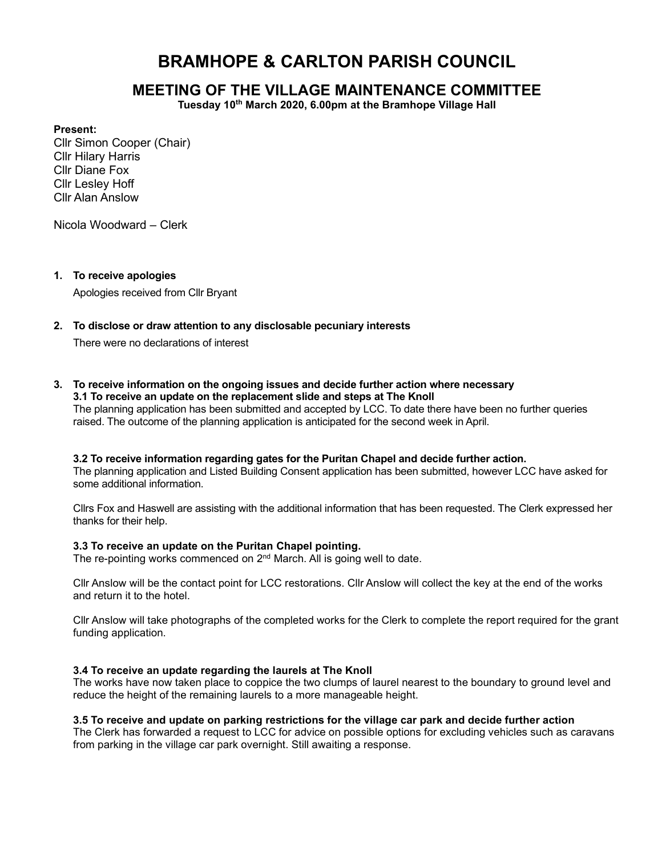# BRAMHOPE & CARLTON PARISH COUNCIL

# MEETING OF THE VILLAGE MAINTENANCE COMMITTEE

Tuesday 10<sup>th</sup> March 2020, 6.00pm at the Bramhope Village Hall

#### Present:

Cllr Simon Cooper (Chair) Cllr Hilary Harris Cllr Diane Fox Cllr Lesley Hoff Cllr Alan Anslow

Nicola Woodward – Clerk

#### 1. To receive apologies

Apologies received from Cllr Bryant

# 2. To disclose or draw attention to any disclosable pecuniary interests

There were no declarations of interest

3. To receive information on the ongoing issues and decide further action where necessary 3.1 To receive an update on the replacement slide and steps at The Knoll

The planning application has been submitted and accepted by LCC. To date there have been no further queries raised. The outcome of the planning application is anticipated for the second week in April.

#### 3.2 To receive information regarding gates for the Puritan Chapel and decide further action.

The planning application and Listed Building Consent application has been submitted, however LCC have asked for some additional information.

Cllrs Fox and Haswell are assisting with the additional information that has been requested. The Clerk expressed her thanks for their help.

#### 3.3 To receive an update on the Puritan Chapel pointing.

The re-pointing works commenced on 2<sup>nd</sup> March. All is going well to date.

Cllr Anslow will be the contact point for LCC restorations. Cllr Anslow will collect the key at the end of the works and return it to the hotel.

Cllr Anslow will take photographs of the completed works for the Clerk to complete the report required for the grant funding application.

#### 3.4 To receive an update regarding the laurels at The Knoll

The works have now taken place to coppice the two clumps of laurel nearest to the boundary to ground level and reduce the height of the remaining laurels to a more manageable height.

# 3.5 To receive and update on parking restrictions for the village car park and decide further action

The Clerk has forwarded a request to LCC for advice on possible options for excluding vehicles such as caravans from parking in the village car park overnight. Still awaiting a response.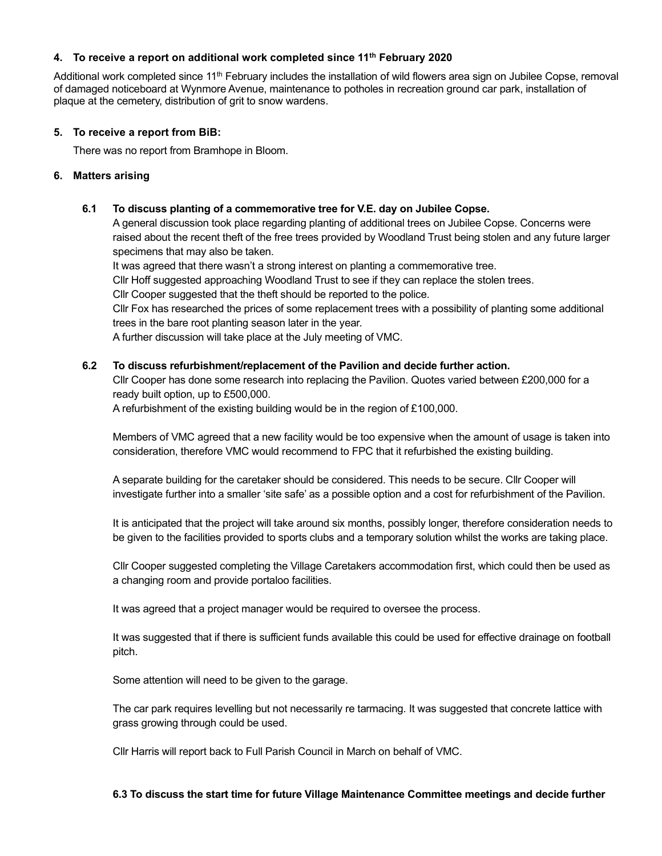#### 4. To receive a report on additional work completed since 11<sup>th</sup> February 2020

Additional work completed since 11<sup>th</sup> February includes the installation of wild flowers area sign on Jubilee Copse, removal of damaged noticeboard at Wynmore Avenue, maintenance to potholes in recreation ground car park, installation of plaque at the cemetery, distribution of grit to snow wardens.

### 5. To receive a report from BiB:

There was no report from Bramhope in Bloom.

### 6. Matters arising

# 6.1 To discuss planting of a commemorative tree for V.E. day on Jubilee Copse.

A general discussion took place regarding planting of additional trees on Jubilee Copse. Concerns were raised about the recent theft of the free trees provided by Woodland Trust being stolen and any future larger specimens that may also be taken.

It was agreed that there wasn't a strong interest on planting a commemorative tree.

Cllr Hoff suggested approaching Woodland Trust to see if they can replace the stolen trees.

Cllr Cooper suggested that the theft should be reported to the police.

Cllr Fox has researched the prices of some replacement trees with a possibility of planting some additional trees in the bare root planting season later in the year.

A further discussion will take place at the July meeting of VMC.

### 6.2 To discuss refurbishment/replacement of the Pavilion and decide further action.

Cllr Cooper has done some research into replacing the Pavilion. Quotes varied between £200,000 for a ready built option, up to £500,000.

A refurbishment of the existing building would be in the region of £100,000.

Members of VMC agreed that a new facility would be too expensive when the amount of usage is taken into consideration, therefore VMC would recommend to FPC that it refurbished the existing building.

A separate building for the caretaker should be considered. This needs to be secure. Cllr Cooper will investigate further into a smaller 'site safe' as a possible option and a cost for refurbishment of the Pavilion.

It is anticipated that the project will take around six months, possibly longer, therefore consideration needs to be given to the facilities provided to sports clubs and a temporary solution whilst the works are taking place.

Cllr Cooper suggested completing the Village Caretakers accommodation first, which could then be used as a changing room and provide portaloo facilities.

It was agreed that a project manager would be required to oversee the process.

It was suggested that if there is sufficient funds available this could be used for effective drainage on football pitch.

Some attention will need to be given to the garage.

The car park requires levelling but not necessarily re tarmacing. It was suggested that concrete lattice with grass growing through could be used.

Cllr Harris will report back to Full Parish Council in March on behalf of VMC.

#### 6.3 To discuss the start time for future Village Maintenance Committee meetings and decide further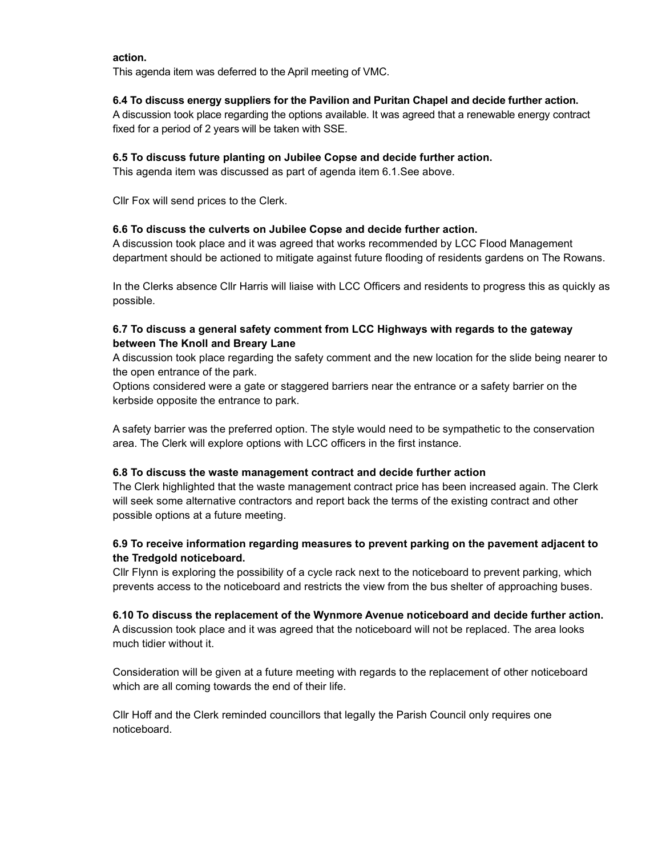#### action.

This agenda item was deferred to the April meeting of VMC.

# 6.4 To discuss energy suppliers for the Pavilion and Puritan Chapel and decide further action.

A discussion took place regarding the options available. It was agreed that a renewable energy contract fixed for a period of 2 years will be taken with SSE.

# 6.5 To discuss future planting on Jubilee Copse and decide further action.

This agenda item was discussed as part of agenda item 6.1.See above.

Cllr Fox will send prices to the Clerk.

# 6.6 To discuss the culverts on Jubilee Copse and decide further action.

A discussion took place and it was agreed that works recommended by LCC Flood Management department should be actioned to mitigate against future flooding of residents gardens on The Rowans.

In the Clerks absence Cllr Harris will liaise with LCC Officers and residents to progress this as quickly as possible.

# 6.7 To discuss a general safety comment from LCC Highways with regards to the gateway between The Knoll and Breary Lane

A discussion took place regarding the safety comment and the new location for the slide being nearer to the open entrance of the park.

Options considered were a gate or staggered barriers near the entrance or a safety barrier on the kerbside opposite the entrance to park.

A safety barrier was the preferred option. The style would need to be sympathetic to the conservation area. The Clerk will explore options with LCC officers in the first instance.

# 6.8 To discuss the waste management contract and decide further action

The Clerk highlighted that the waste management contract price has been increased again. The Clerk will seek some alternative contractors and report back the terms of the existing contract and other possible options at a future meeting.

# 6.9 To receive information regarding measures to prevent parking on the pavement adjacent to the Tredgold noticeboard.

Cllr Flynn is exploring the possibility of a cycle rack next to the noticeboard to prevent parking, which prevents access to the noticeboard and restricts the view from the bus shelter of approaching buses.

# 6.10 To discuss the replacement of the Wynmore Avenue noticeboard and decide further action.

A discussion took place and it was agreed that the noticeboard will not be replaced. The area looks much tidier without it.

Consideration will be given at a future meeting with regards to the replacement of other noticeboard which are all coming towards the end of their life.

Cllr Hoff and the Clerk reminded councillors that legally the Parish Council only requires one noticeboard.